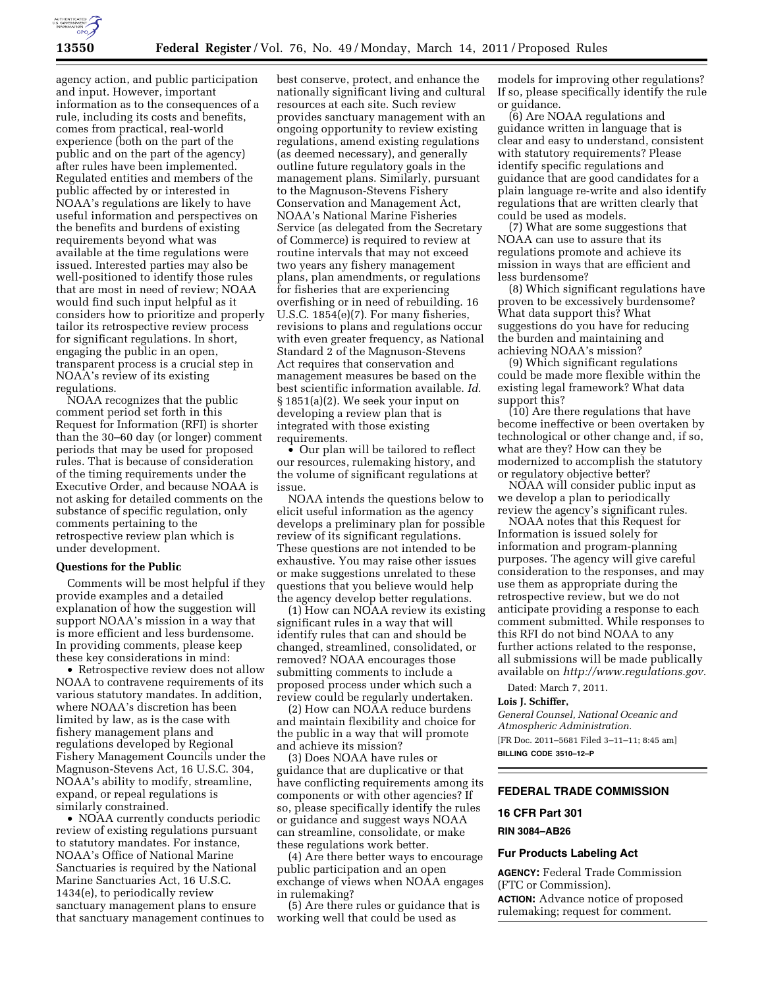

agency action, and public participation and input. However, important information as to the consequences of a rule, including its costs and benefits, comes from practical, real-world experience (both on the part of the public and on the part of the agency) after rules have been implemented. Regulated entities and members of the public affected by or interested in NOAA's regulations are likely to have useful information and perspectives on the benefits and burdens of existing requirements beyond what was available at the time regulations were issued. Interested parties may also be well-positioned to identify those rules that are most in need of review; NOAA would find such input helpful as it considers how to prioritize and properly tailor its retrospective review process for significant regulations. In short, engaging the public in an open, transparent process is a crucial step in NOAA's review of its existing regulations.

NOAA recognizes that the public comment period set forth in this Request for Information (RFI) is shorter than the 30–60 day (or longer) comment periods that may be used for proposed rules. That is because of consideration of the timing requirements under the Executive Order, and because NOAA is not asking for detailed comments on the substance of specific regulation, only comments pertaining to the retrospective review plan which is under development.

### **Questions for the Public**

Comments will be most helpful if they provide examples and a detailed explanation of how the suggestion will support NOAA's mission in a way that is more efficient and less burdensome. In providing comments, please keep these key considerations in mind:

• Retrospective review does not allow NOAA to contravene requirements of its various statutory mandates. In addition, where NOAA's discretion has been limited by law, as is the case with fishery management plans and regulations developed by Regional Fishery Management Councils under the Magnuson-Stevens Act, 16 U.S.C. 304, NOAA's ability to modify, streamline, expand, or repeal regulations is similarly constrained.

• NOAA currently conducts periodic review of existing regulations pursuant to statutory mandates. For instance, NOAA's Office of National Marine Sanctuaries is required by the National Marine Sanctuaries Act, 16 U.S.C. 1434(e), to periodically review sanctuary management plans to ensure that sanctuary management continues to best conserve, protect, and enhance the nationally significant living and cultural resources at each site. Such review provides sanctuary management with an ongoing opportunity to review existing regulations, amend existing regulations (as deemed necessary), and generally outline future regulatory goals in the management plans. Similarly, pursuant to the Magnuson-Stevens Fishery Conservation and Management Act, NOAA's National Marine Fisheries Service (as delegated from the Secretary of Commerce) is required to review at routine intervals that may not exceed two years any fishery management plans, plan amendments, or regulations for fisheries that are experiencing overfishing or in need of rebuilding. 16 U.S.C. 1854(e)(7). For many fisheries, revisions to plans and regulations occur with even greater frequency, as National Standard 2 of the Magnuson-Stevens Act requires that conservation and management measures be based on the best scientific information available. *Id.*  § 1851(a)(2). We seek your input on developing a review plan that is integrated with those existing requirements.

• Our plan will be tailored to reflect our resources, rulemaking history, and the volume of significant regulations at issue.

NOAA intends the questions below to elicit useful information as the agency develops a preliminary plan for possible review of its significant regulations. These questions are not intended to be exhaustive. You may raise other issues or make suggestions unrelated to these questions that you believe would help the agency develop better regulations.

(1) How can NOAA review its existing significant rules in a way that will identify rules that can and should be changed, streamlined, consolidated, or removed? NOAA encourages those submitting comments to include a proposed process under which such a review could be regularly undertaken.

(2) How can NOAA reduce burdens and maintain flexibility and choice for the public in a way that will promote and achieve its mission?

(3) Does NOAA have rules or guidance that are duplicative or that have conflicting requirements among its components or with other agencies? If so, please specifically identify the rules or guidance and suggest ways NOAA can streamline, consolidate, or make these regulations work better.

(4) Are there better ways to encourage public participation and an open exchange of views when NOAA engages in rulemaking?

(5) Are there rules or guidance that is working well that could be used as

models for improving other regulations? If so, please specifically identify the rule or guidance.

(6) Are NOAA regulations and guidance written in language that is clear and easy to understand, consistent with statutory requirements? Please identify specific regulations and guidance that are good candidates for a plain language re-write and also identify regulations that are written clearly that could be used as models.

(7) What are some suggestions that NOAA can use to assure that its regulations promote and achieve its mission in ways that are efficient and less burdensome?

(8) Which significant regulations have proven to be excessively burdensome? What data support this? What suggestions do you have for reducing the burden and maintaining and achieving NOAA's mission?

(9) Which significant regulations could be made more flexible within the existing legal framework? What data support this?

(10) Are there regulations that have become ineffective or been overtaken by technological or other change and, if so, what are they? How can they be modernized to accomplish the statutory or regulatory objective better?

NOAA will consider public input as we develop a plan to periodically review the agency's significant rules.

NOAA notes that this Request for Information is issued solely for information and program-planning purposes. The agency will give careful consideration to the responses, and may use them as appropriate during the retrospective review, but we do not anticipate providing a response to each comment submitted. While responses to this RFI do not bind NOAA to any further actions related to the response, all submissions will be made publically available on *[http://www.regulations.gov.](http://www.regulations.gov)* 

Dated: March 7, 2011.

**Lois J. Schiffer,** 

*General Counsel, National Oceanic and Atmospheric Administration.*  [FR Doc. 2011–5681 Filed 3–11–11; 8:45 am]

**BILLING CODE 3510–12–P** 

## **FEDERAL TRADE COMMISSION**

#### **16 CFR Part 301**

#### **RIN 3084–AB26**

## **Fur Products Labeling Act**

**AGENCY:** Federal Trade Commission (FTC or Commission). **ACTION:** Advance notice of proposed rulemaking; request for comment.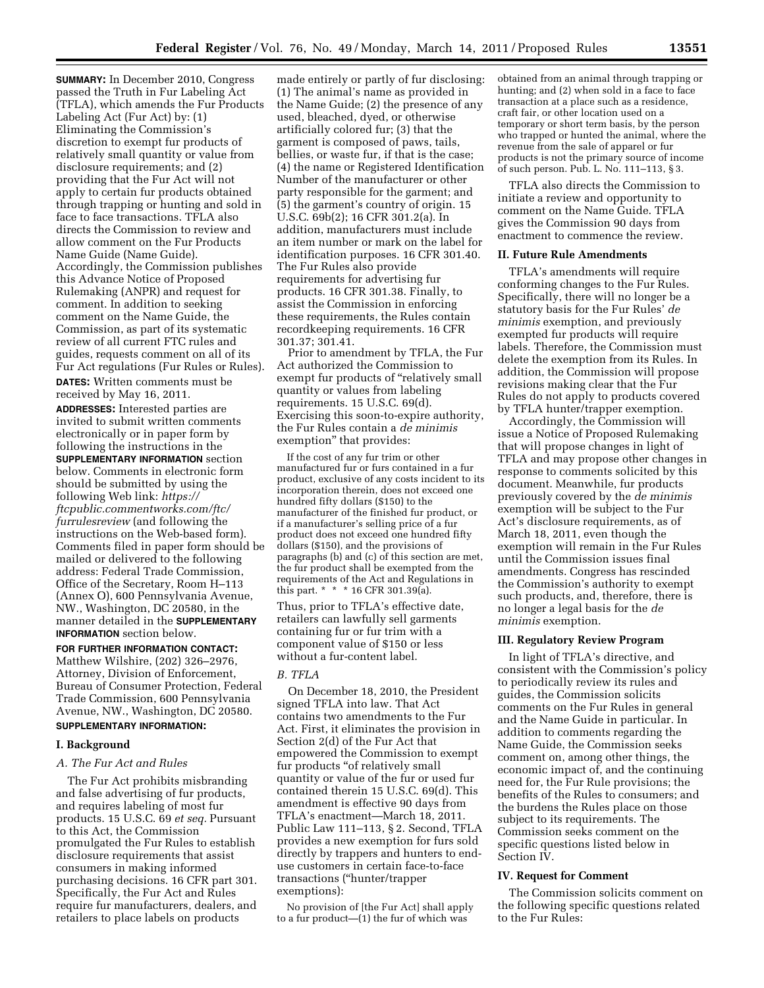**SUMMARY:** In December 2010, Congress passed the Truth in Fur Labeling Act (TFLA), which amends the Fur Products Labeling Act (Fur Act) by: (1) Eliminating the Commission's discretion to exempt fur products of relatively small quantity or value from disclosure requirements; and (2) providing that the Fur Act will not apply to certain fur products obtained through trapping or hunting and sold in face to face transactions. TFLA also directs the Commission to review and allow comment on the Fur Products Name Guide (Name Guide). Accordingly, the Commission publishes this Advance Notice of Proposed Rulemaking (ANPR) and request for comment. In addition to seeking comment on the Name Guide, the Commission, as part of its systematic review of all current FTC rules and guides, requests comment on all of its Fur Act regulations (Fur Rules or Rules).

**DATES:** Written comments must be received by May 16, 2011.

**ADDRESSES:** Interested parties are invited to submit written comments electronically or in paper form by following the instructions in the **SUPPLEMENTARY INFORMATION** section below. Comments in electronic form should be submitted by using the following Web link: *[https://](https://ftcpublic.commentworks.com/ftc/furrulesreview)  [ftcpublic.commentworks.com/ftc/](https://ftcpublic.commentworks.com/ftc/furrulesreview)  [furrulesreview](https://ftcpublic.commentworks.com/ftc/furrulesreview)* (and following the instructions on the Web-based form). Comments filed in paper form should be mailed or delivered to the following address: Federal Trade Commission, Office of the Secretary, Room H–113 (Annex O), 600 Pennsylvania Avenue, NW., Washington, DC 20580, in the manner detailed in the **SUPPLEMENTARY INFORMATION** section below.

**FOR FURTHER INFORMATION CONTACT:**  Matthew Wilshire, (202) 326–2976, Attorney, Division of Enforcement, Bureau of Consumer Protection, Federal Trade Commission, 600 Pennsylvania Avenue, NW., Washington, DC 20580. **SUPPLEMENTARY INFORMATION:** 

#### **I. Background**

#### *A. The Fur Act and Rules*

The Fur Act prohibits misbranding and false advertising of fur products, and requires labeling of most fur products. 15 U.S.C. 69 *et seq.* Pursuant to this Act, the Commission promulgated the Fur Rules to establish disclosure requirements that assist consumers in making informed purchasing decisions. 16 CFR part 301. Specifically, the Fur Act and Rules require fur manufacturers, dealers, and retailers to place labels on products

made entirely or partly of fur disclosing: (1) The animal's name as provided in the Name Guide; (2) the presence of any used, bleached, dyed, or otherwise artificially colored fur; (3) that the garment is composed of paws, tails, bellies, or waste fur, if that is the case; (4) the name or Registered Identification Number of the manufacturer or other party responsible for the garment; and (5) the garment's country of origin. 15 U.S.C. 69b(2); 16 CFR 301.2(a). In addition, manufacturers must include an item number or mark on the label for identification purposes. 16 CFR 301.40. The Fur Rules also provide requirements for advertising fur products. 16 CFR 301.38. Finally, to assist the Commission in enforcing these requirements, the Rules contain recordkeeping requirements. 16 CFR 301.37; 301.41.

Prior to amendment by TFLA, the Fur Act authorized the Commission to exempt fur products of "relatively small quantity or values from labeling requirements. 15 U.S.C. 69(d). Exercising this soon-to-expire authority, the Fur Rules contain a *de minimis*  exemption'' that provides:

If the cost of any fur trim or other manufactured fur or furs contained in a fur product, exclusive of any costs incident to its incorporation therein, does not exceed one hundred fifty dollars (\$150) to the manufacturer of the finished fur product, or if a manufacturer's selling price of a fur product does not exceed one hundred fifty dollars (\$150), and the provisions of paragraphs (b) and (c) of this section are met, the fur product shall be exempted from the requirements of the Act and Regulations in this part. \* \* \* 16 CFR 301.39(a).

Thus, prior to TFLA's effective date, retailers can lawfully sell garments containing fur or fur trim with a component value of \$150 or less without a fur-content label.

## *B. TFLA*

On December 18, 2010, the President signed TFLA into law. That Act contains two amendments to the Fur Act. First, it eliminates the provision in Section 2(d) of the Fur Act that empowered the Commission to exempt fur products "of relatively small quantity or value of the fur or used fur contained therein 15 U.S.C. 69(d). This amendment is effective 90 days from TFLA's enactment—March 18, 2011. Public Law 111–113, § 2. Second, TFLA provides a new exemption for furs sold directly by trappers and hunters to enduse customers in certain face-to-face transactions (''hunter/trapper exemptions):

No provision of [the Fur Act] shall apply to a fur product— $(1)$  the fur of which was

obtained from an animal through trapping or hunting; and (2) when sold in a face to face transaction at a place such as a residence, craft fair, or other location used on a temporary or short term basis, by the person who trapped or hunted the animal, where the revenue from the sale of apparel or fur products is not the primary source of income of such person. Pub. L. No. 111–113, § 3.

TFLA also directs the Commission to initiate a review and opportunity to comment on the Name Guide. TFLA gives the Commission 90 days from enactment to commence the review.

## **II. Future Rule Amendments**

TFLA's amendments will require conforming changes to the Fur Rules. Specifically, there will no longer be a statutory basis for the Fur Rules' *de minimis* exemption, and previously exempted fur products will require labels. Therefore, the Commission must delete the exemption from its Rules. In addition, the Commission will propose revisions making clear that the Fur Rules do not apply to products covered by TFLA hunter/trapper exemption.

Accordingly, the Commission will issue a Notice of Proposed Rulemaking that will propose changes in light of TFLA and may propose other changes in response to comments solicited by this document. Meanwhile, fur products previously covered by the *de minimis*  exemption will be subject to the Fur Act's disclosure requirements, as of March 18, 2011, even though the exemption will remain in the Fur Rules until the Commission issues final amendments. Congress has rescinded the Commission's authority to exempt such products, and, therefore, there is no longer a legal basis for the *de minimis* exemption.

#### **III. Regulatory Review Program**

In light of TFLA's directive, and consistent with the Commission's policy to periodically review its rules and guides, the Commission solicits comments on the Fur Rules in general and the Name Guide in particular. In addition to comments regarding the Name Guide, the Commission seeks comment on, among other things, the economic impact of, and the continuing need for, the Fur Rule provisions; the benefits of the Rules to consumers; and the burdens the Rules place on those subject to its requirements. The Commission seeks comment on the specific questions listed below in Section IV.

#### **IV. Request for Comment**

The Commission solicits comment on the following specific questions related to the Fur Rules: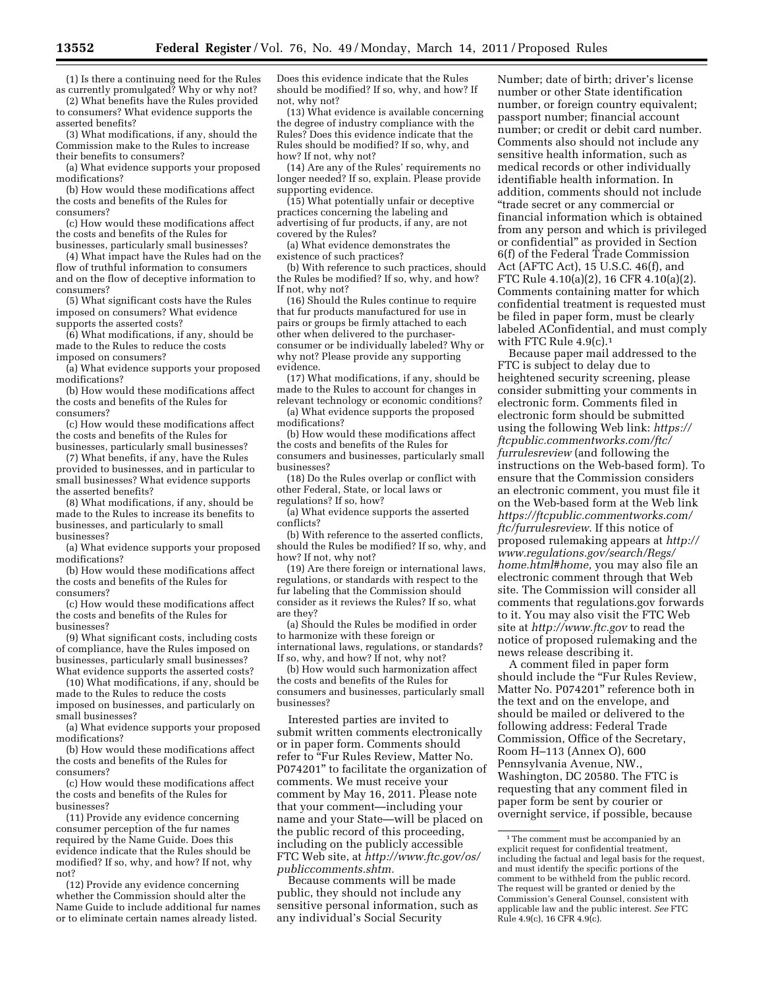(1) Is there a continuing need for the Rules as currently promulgated? Why or why not?

(2) What benefits have the Rules provided to consumers? What evidence supports the

asserted benefits? (3) What modifications, if any, should the Commission make to the Rules to increase their benefits to consumers?

(a) What evidence supports your proposed modifications?

(b) How would these modifications affect the costs and benefits of the Rules for consumers?

(c) How would these modifications affect the costs and benefits of the Rules for businesses, particularly small businesses?

(4) What impact have the Rules had on the flow of truthful information to consumers and on the flow of deceptive information to consumers?

(5) What significant costs have the Rules imposed on consumers? What evidence supports the asserted costs?

(6) What modifications, if any, should be made to the Rules to reduce the costs imposed on consumers?

(a) What evidence supports your proposed modifications?

(b) How would these modifications affect the costs and benefits of the Rules for consumers?

(c) How would these modifications affect the costs and benefits of the Rules for businesses, particularly small businesses?

(7) What benefits, if any, have the Rules provided to businesses, and in particular to small businesses? What evidence supports the asserted benefits?

(8) What modifications, if any, should be made to the Rules to increase its benefits to businesses, and particularly to small businesses?

(a) What evidence supports your proposed modifications?

(b) How would these modifications affect the costs and benefits of the Rules for consumers?

(c) How would these modifications affect the costs and benefits of the Rules for businesses?

(9) What significant costs, including costs of compliance, have the Rules imposed on businesses, particularly small businesses? What evidence supports the asserted costs?

(10) What modifications, if any, should be made to the Rules to reduce the costs imposed on businesses, and particularly on small businesses?

(a) What evidence supports your proposed modifications?

(b) How would these modifications affect the costs and benefits of the Rules for consumers?

(c) How would these modifications affect the costs and benefits of the Rules for businesses?

(11) Provide any evidence concerning consumer perception of the fur names required by the Name Guide. Does this evidence indicate that the Rules should be modified? If so, why, and how? If not, why not?

(12) Provide any evidence concerning whether the Commission should alter the Name Guide to include additional fur names or to eliminate certain names already listed.

Does this evidence indicate that the Rules should be modified? If so, why, and how? If not, why not?

(13) What evidence is available concerning the degree of industry compliance with the Rules? Does this evidence indicate that the Rules should be modified? If so, why, and how? If not, why not?

(14) Are any of the Rules' requirements no longer needed? If so, explain. Please provide supporting evidence.

(15) What potentially unfair or deceptive practices concerning the labeling and advertising of fur products, if any, are not covered by the Rules?

(a) What evidence demonstrates the existence of such practices?

(b) With reference to such practices, should the Rules be modified? If so, why, and how? If not, why not?

(16) Should the Rules continue to require that fur products manufactured for use in pairs or groups be firmly attached to each other when delivered to the purchaserconsumer or be individually labeled? Why or why not? Please provide any supporting evidence.

(17) What modifications, if any, should be made to the Rules to account for changes in relevant technology or economic conditions?

(a) What evidence supports the proposed modifications?

(b) How would these modifications affect the costs and benefits of the Rules for consumers and businesses, particularly small businesses?

(18) Do the Rules overlap or conflict with other Federal, State, or local laws or regulations? If so, how?

(a) What evidence supports the asserted conflicts?

(b) With reference to the asserted conflicts, should the Rules be modified? If so, why, and how? If not, why not?

(19) Are there foreign or international laws, regulations, or standards with respect to the fur labeling that the Commission should consider as it reviews the Rules? If so, what are they?

(a) Should the Rules be modified in order to harmonize with these foreign or international laws, regulations, or standards? If so, why, and how? If not, why not?

(b) How would such harmonization affect the costs and benefits of the Rules for consumers and businesses, particularly small businesses?

Interested parties are invited to submit written comments electronically or in paper form. Comments should refer to "Fur Rules Review, Matter No. P074201'' to facilitate the organization of comments. We must receive your comment by May 16, 2011. Please note that your comment—including your name and your State—will be placed on the public record of this proceeding, including on the publicly accessible FTC Web site, at *[http://www.ftc.gov/os/](http://www.ftc.gov/os/publiccomments.shtm) [publiccomments.shtm.](http://www.ftc.gov/os/publiccomments.shtm)* 

Because comments will be made public, they should not include any sensitive personal information, such as any individual's Social Security

Number; date of birth; driver's license number or other State identification number, or foreign country equivalent; passport number; financial account number; or credit or debit card number. Comments also should not include any sensitive health information, such as medical records or other individually identifiable health information. In addition, comments should not include ''trade secret or any commercial or financial information which is obtained from any person and which is privileged or confidential'' as provided in Section 6(f) of the Federal Trade Commission Act (AFTC Act), 15 U.S.C. 46(f), and FTC Rule 4.10(a)(2), 16 CFR 4.10(a)(2). Comments containing matter for which confidential treatment is requested must be filed in paper form, must be clearly labeled AConfidential, and must comply with FTC Rule  $4.9(c).1$ 

Because paper mail addressed to the FTC is subject to delay due to heightened security screening, please consider submitting your comments in electronic form. Comments filed in electronic form should be submitted using the following Web link: *[https://](https://ftcpublic.commentworks.com/ftc/furrulesreview) [ftcpublic.commentworks.com/ftc/](https://ftcpublic.commentworks.com/ftc/furrulesreview)  [furrulesreview](https://ftcpublic.commentworks.com/ftc/furrulesreview)* (and following the instructions on the Web-based form). To ensure that the Commission considers an electronic comment, you must file it on the Web-based form at the Web link *[https://ftcpublic.commentworks.com/](https://ftcpublic.commentworks.com/ftc/furrulesreview) [ftc/furrulesreview.](https://ftcpublic.commentworks.com/ftc/furrulesreview)* If this notice of proposed rulemaking appears at *[http://](http://www.regulations.gov/search/Regs/home.html#home) [www.regulations.gov/search/Regs/](http://www.regulations.gov/search/Regs/home.html#home) [home.html#home,](http://www.regulations.gov/search/Regs/home.html#home)* you may also file an electronic comment through that Web site. The Commission will consider all comments that regulations.gov forwards to it. You may also visit the FTC Web site at *<http://www.ftc.gov>*to read the notice of proposed rulemaking and the news release describing it.

A comment filed in paper form should include the "Fur Rules Review, Matter No. P074201'' reference both in the text and on the envelope, and should be mailed or delivered to the following address: Federal Trade Commission, Office of the Secretary, Room H–113 (Annex O), 600 Pennsylvania Avenue, NW., Washington, DC 20580. The FTC is requesting that any comment filed in paper form be sent by courier or overnight service, if possible, because

<sup>&</sup>lt;sup>1</sup>The comment must be accompanied by an explicit request for confidential treatment, including the factual and legal basis for the request, and must identify the specific portions of the comment to be withheld from the public record. The request will be granted or denied by the Commission's General Counsel, consistent with applicable law and the public interest. *See* FTC Rule 4.9(c), 16 CFR 4.9(c).